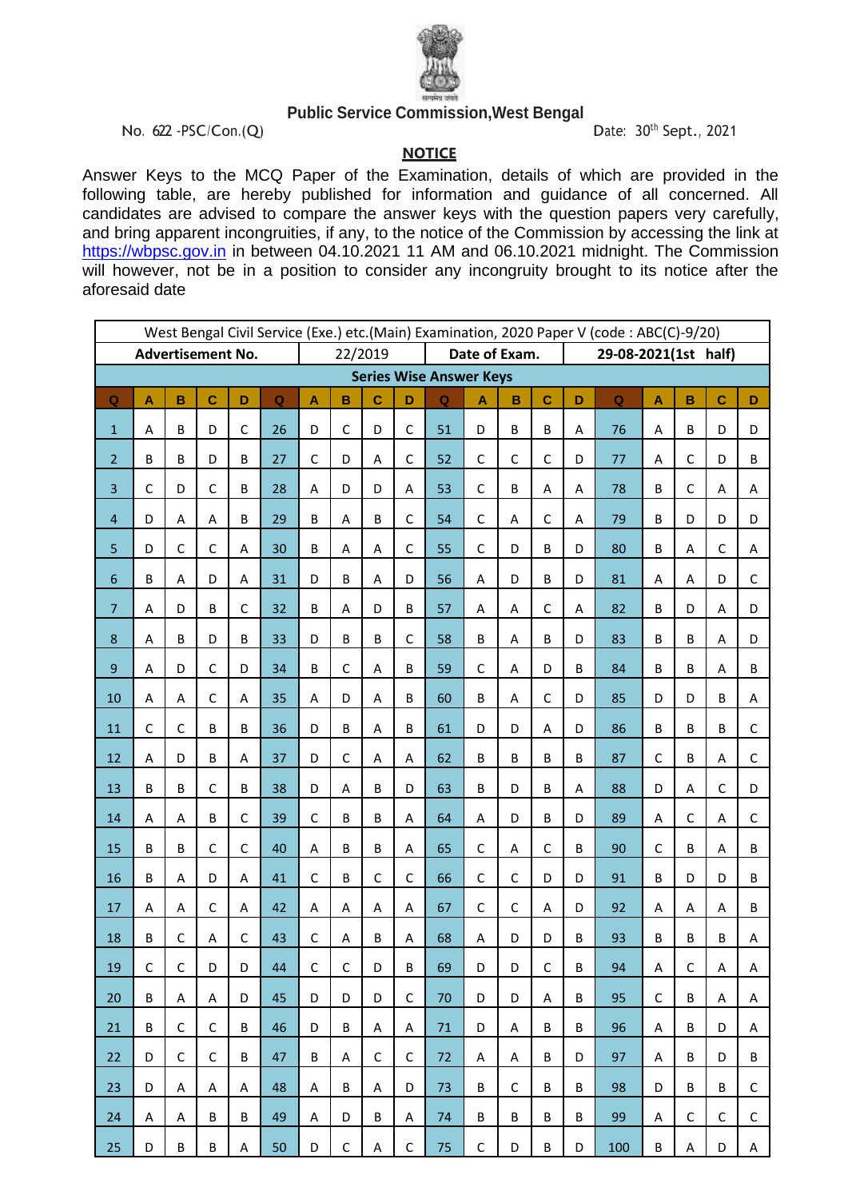

## **Public Service Commission,West Bengal**

No. 622 -PSC/Con.(Q) Date: 30<sup>th</sup> Sept., 2021

**NOTICE**

Answer Keys to the MCQ Paper of the Examination, details of which are provided in the following table, are hereby published for information and guidance of all concerned. All candidates are advised to compare the answer keys with the question papers very carefully, and bring apparent incongruities, if any, to the notice of the Commission by accessing the link at [https://wbpsc.gov.in](https://wbpsc.gov.in/) in between 04.10.2021 11 AM and 06.10.2021 midnight. The Commission will however, not be in a position to consider any incongruity brought to its notice after the aforesaid date

| West Bengal Civil Service (Exe.) etc.(Main) Examination, 2020 Paper V (code: ABC(C)-9/20) |             |                         |              |             |                         |                           |                          |             |              |                                |              |              |             |                      |                    |                           |              |              |             |  |
|-------------------------------------------------------------------------------------------|-------------|-------------------------|--------------|-------------|-------------------------|---------------------------|--------------------------|-------------|--------------|--------------------------------|--------------|--------------|-------------|----------------------|--------------------|---------------------------|--------------|--------------|-------------|--|
| <b>Advertisement No.</b>                                                                  |             |                         |              |             |                         |                           | Date of Exam.<br>22/2019 |             |              |                                |              |              |             | 29-08-2021(1st half) |                    |                           |              |              |             |  |
|                                                                                           |             |                         |              |             |                         |                           |                          |             |              | <b>Series Wise Answer Keys</b> |              |              |             |                      |                    |                           |              |              |             |  |
| $\mathbf Q$                                                                               | A           | $\overline{\mathbf{B}}$ | $\mathbf C$  | D           | $\overline{\mathbf{Q}}$ | $\boldsymbol{\mathsf{A}}$ | B                        | $\mathbf c$ | D            | Q                              | A            | $\mathbf B$  | $\mathbf C$ | D                    | $\pmb{\mathsf{Q}}$ | $\boldsymbol{\mathsf{A}}$ | $\, {\bf B}$ | $\mathbf{C}$ | D           |  |
| $\mathbf 1$                                                                               | A           | B                       | D            | $\mathsf C$ | 26                      | D                         | $\mathsf{C}$             | D           | $\mathsf{C}$ | 51                             | D            | $\sf B$      | B           | A                    | 76                 | A                         | B            | D            | D           |  |
| $\overline{2}$                                                                            | B           | B                       | D            | B           | 27                      | $\mathsf C$               | D                        | A           | $\mathsf C$  | 52                             | $\mathsf C$  | $\mathsf C$  | $\mathsf C$ | D                    | 77                 | A                         | $\mathsf C$  | D            | B           |  |
| 3                                                                                         | $\mathsf C$ | D                       | $\mathsf{C}$ | B           | 28                      | A                         | D                        | D           | A            | 53                             | $\mathsf C$  | B            | A           | A                    | 78                 | B                         | $\mathsf C$  | A            | Α           |  |
| $\overline{\mathbf{4}}$                                                                   | D           | A                       | A            | B           | 29                      | B                         | A                        | B           | $\mathsf C$  | 54                             | $\mathsf C$  | A            | $\mathsf C$ | Α                    | 79                 | B                         | D            | D            | D           |  |
| 5                                                                                         | D           | $\mathsf{C}$            | $\mathsf{C}$ | A           | 30                      | B                         | A                        | A           | $\mathsf{C}$ | 55                             | $\mathsf{C}$ | D            | B           | D                    | 80                 | B                         | A            | $\mathsf{C}$ | A           |  |
| $\boldsymbol{6}$                                                                          | B           | Α                       | D            | A           | 31                      | D                         | B                        | A           | D            | 56                             | A            | D            | B           | D                    | 81                 | A                         | Α            | D            | $\mathsf C$ |  |
| $\overline{7}$                                                                            | A           | D                       | B            | $\mathsf C$ | 32                      | B                         | A                        | D           | B            | 57                             | A            | A            | $\mathsf C$ | A                    | 82                 | B                         | D            | A            | D           |  |
| 8                                                                                         | Α           | B                       | D            | B           | 33                      | D                         | B                        | B           | $\mathsf{C}$ | 58                             | B            | A            | B           | D                    | 83                 | B                         | B            | A            | D           |  |
| 9                                                                                         | A           | D                       | $\mathsf{C}$ | D           | 34                      | B                         | $\mathsf{C}$             | A           | B            | 59                             | $\mathsf C$  | A            | D           | B                    | 84                 | B                         | B            | A            | B           |  |
| 10                                                                                        | A           | A                       | $\mathsf{C}$ | A           | 35                      | А                         | D                        | A           | B            | 60                             | B            | A            | $\mathsf C$ | D                    | 85                 | D                         | D            | B            | A           |  |
| 11                                                                                        | $\mathsf C$ | $\mathsf{C}$            | B            | B           | 36                      | D                         | B                        | A           | B            | 61                             | D            | D            | A           | D                    | 86                 | B                         | B            | B            | $\mathsf C$ |  |
| 12                                                                                        | A           | D                       | B            | A           | 37                      | D                         | $\mathsf C$              | Α           | Α            | 62                             | B            | $\sf B$      | B           | B                    | 87                 | $\mathsf C$               | B            | Α            | $\mathsf C$ |  |
| 13                                                                                        | B           | B                       | $\mathsf{C}$ | B           | 38                      | D                         | A                        | B           | D            | 63                             | B            | D            | B           | A                    | 88                 | D                         | A            | $\mathsf{C}$ | D           |  |
| 14                                                                                        | A           | A                       | B            | $\mathsf C$ | 39                      | $\mathsf C$               | B                        | B           | A            | 64                             | A            | D            | B           | D                    | 89                 | A                         | $\mathsf C$  | A            | $\mathsf C$ |  |
| 15                                                                                        | B           | B                       | $\mathsf{C}$ | $\mathsf C$ | 40                      | A                         | B                        | B           | A            | 65                             | $\mathsf C$  | A            | $\mathsf C$ | B                    | 90                 | $\mathsf C$               | B            | A            | B           |  |
| 16                                                                                        | В           | Α                       | D            | A           | 41                      | $\mathsf C$               | B                        | C           | $\mathsf C$  | 66                             | $\mathsf C$  | $\mathsf C$  | D           | D                    | 91                 | B                         | D            | D            | B           |  |
| 17                                                                                        | A           | Α                       | $\mathsf{C}$ | A           | 42                      | A                         | A                        | A           | A            | 67                             | $\mathsf C$  | $\mathsf C$  | A           | D                    | 92                 | А                         | A            | A            | B           |  |
| 18                                                                                        | B           | $\mathsf C$             | A            | $\mathsf C$ | 43                      | $\mathsf C$               | A                        | B           | A            | 68                             | A            | D            | D           | B                    | 93                 | B                         | B            | B            | A           |  |
| 19                                                                                        | $\mathsf C$ | $\mathsf C$             | D            | D           | 44                      | $\mathsf C$               | $\mathsf C$              | D           | B            | 69                             | D            | D            | $\mathsf C$ | B                    | 94                 | A                         | $\mathsf C$  | А            | А           |  |
| 20                                                                                        | B           | Α                       | A            | D           | 45                      | D                         | D                        | D           | C            | 70                             | D            | D            | Α           | B                    | 95                 | $\mathsf C$               | B            | A            | Α           |  |
| 21                                                                                        | B           | $\mathsf{C}$            | $\mathsf C$  | B           | 46                      | D                         | B                        | Α           | Α            | 71                             | D            | Α            | B           | B                    | 96                 | Α                         | B            | D            | Α           |  |
| 22                                                                                        | D           | C                       | C            | B           | 47                      | B                         | Α                        | C           | C            | 72                             | Α            | Α            | B           | D                    | 97                 | Α                         | В            | D            | B           |  |
| 23                                                                                        | D           | Α                       | Α            | Α           | 48                      | Α                         | B                        | Α           | D            | 73                             | B            | $\mathsf{C}$ | B           | B                    | 98                 | D                         | B            | B            | $\mathsf C$ |  |
| 24                                                                                        | Α           | A                       | B            | B           | 49                      | Α                         | D                        | B           | А            | 74                             | B            | B            | B           | В                    | 99                 | Α                         | C            | $\mathsf{C}$ | C           |  |
| 25                                                                                        | D           | B                       | B            | A           | 50                      | D                         | $\mathsf C$              | Α           | $\mathsf C$  | 75                             | $\mathsf C$  | D            | B           | D                    | 100                | В                         | Α            | D            | A           |  |